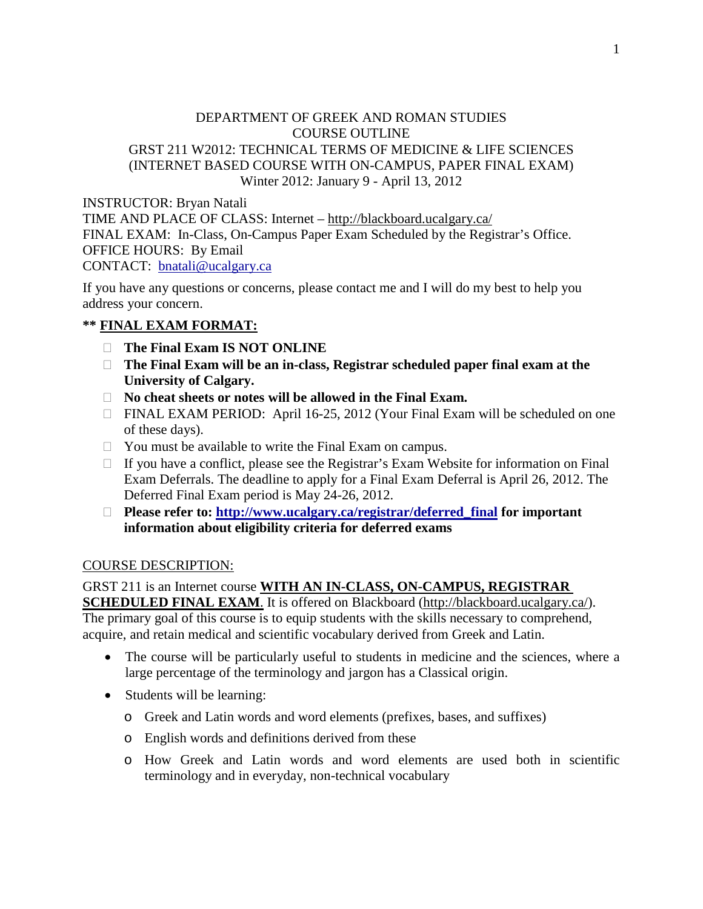### DEPARTMENT OF GREEK AND ROMAN STUDIES COURSE OUTLINE GRST 211 W2012: TECHNICAL TERMS OF MEDICINE & LIFE SCIENCES (INTERNET BASED COURSE WITH ON-CAMPUS, PAPER FINAL EXAM) Winter 2012: January 9 - April 13, 2012

INSTRUCTOR: Bryan Natali TIME AND PLACE OF CLASS: Internet – <http://blackboard.ucalgary.ca/> FINAL EXAM: In-Class, On-Campus Paper Exam Scheduled by the Registrar's Office. OFFICE HOURS: By Email CONTACT: [bnatali@ucalgary.ca](mailto:bnatali@ucalgary.ca) 

If you have any questions or concerns, please contact me and I will do my best to help you address your concern.

# **\*\* FINAL EXAM FORMAT:**

- **The Final Exam IS NOT ONLINE**
- **The Final Exam will be an in-class, Registrar scheduled paper final exam at the University of Calgary.**
- **No cheat sheets or notes will be allowed in the Final Exam.**
- □ FINAL EXAM PERIOD: April 16-25, 2012 (Your Final Exam will be scheduled on one of these days).
- $\Box$  You must be available to write the Final Exam on campus.
- $\Box$  If you have a conflict, please see the Registrar's Exam Website for information on Final Exam Deferrals. The deadline to apply for a Final Exam Deferral is April 26, 2012. The Deferred Final Exam period is May 24-26, 2012.
- **Please refer to: [http://www.ucalgary.ca/registrar/deferred\\_final](http://www.ucalgary.ca/registrar/exam_info) for important information about eligibility criteria for deferred exams**

### COURSE DESCRIPTION:

## GRST 211 is an Internet course **WITH AN IN-CLASS, ON-CAMPUS, REGISTRAR**

**SCHEDULED FINAL EXAM.** It is offered on Blackboard [\(http://blackboard.ucalgary.ca/\)](http://blackboard.ucalgary.ca/). The primary goal of this course is to equip students with the skills necessary to comprehend, acquire, and retain medical and scientific vocabulary derived from Greek and Latin.

- The course will be particularly useful to students in medicine and the sciences, where a large percentage of the terminology and jargon has a Classical origin.
- Students will be learning:
	- o Greek and Latin words and word elements (prefixes, bases, and suffixes)
	- o English words and definitions derived from these
	- o How Greek and Latin words and word elements are used both in scientific terminology and in everyday, non-technical vocabulary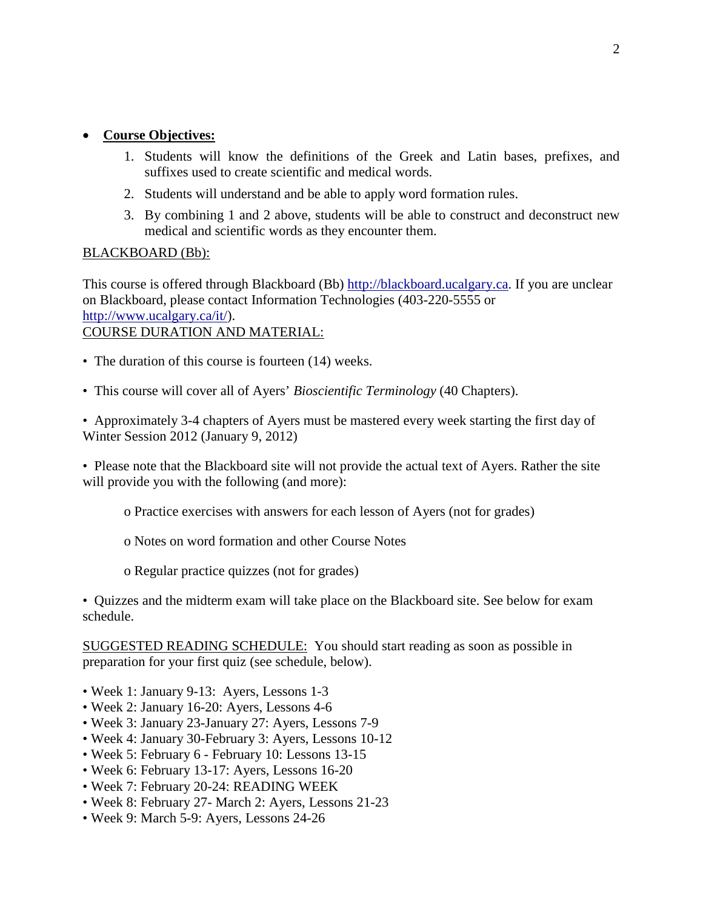### • **Course Objectives:**

- 1. Students will know the definitions of the Greek and Latin bases, prefixes, and suffixes used to create scientific and medical words.
- 2. Students will understand and be able to apply word formation rules.
- 3. By combining 1 and 2 above, students will be able to construct and deconstruct new medical and scientific words as they encounter them.

### BLACKBOARD (Bb):

This course is offered through Blackboard (Bb) [http://blackboard.ucalgary.ca.](http://blackboard.ucalgary.ca/) If you are unclear on Blackboard, please contact Information Technologies (403-220-5555 or [http://www.ucalgary.ca/it/\)](http://www.ucalgary.ca/it/). COURSE DURATION AND MATERIAL:

- The duration of this course is fourteen (14) weeks.
- This course will cover all of Ayers' *Bioscientific Terminology* (40 Chapters).

• Approximately 3-4 chapters of Ayers must be mastered every week starting the first day of Winter Session 2012 (January 9, 2012)

• Please note that the Blackboard site will not provide the actual text of Ayers. Rather the site will provide you with the following (and more):

- o Practice exercises with answers for each lesson of Ayers (not for grades)
- o Notes on word formation and other Course Notes
- o Regular practice quizzes (not for grades)

• Quizzes and the midterm exam will take place on the Blackboard site. See below for exam schedule.

SUGGESTED READING SCHEDULE: You should start reading as soon as possible in preparation for your first quiz (see schedule, below).

- Week 1: January 9-13: Ayers, Lessons 1-3
- Week 2: January 16-20: Ayers, Lessons 4-6
- Week 3: January 23-January 27: Ayers, Lessons 7-9
- Week 4: January 30-February 3: Ayers, Lessons 10-12
- Week 5: February 6 February 10: Lessons 13-15
- Week 6: February 13-17: Ayers, Lessons 16-20
- Week 7: February 20-24: READING WEEK
- Week 8: February 27- March 2: Ayers, Lessons 21-23
- Week 9: March 5-9: Ayers, Lessons 24-26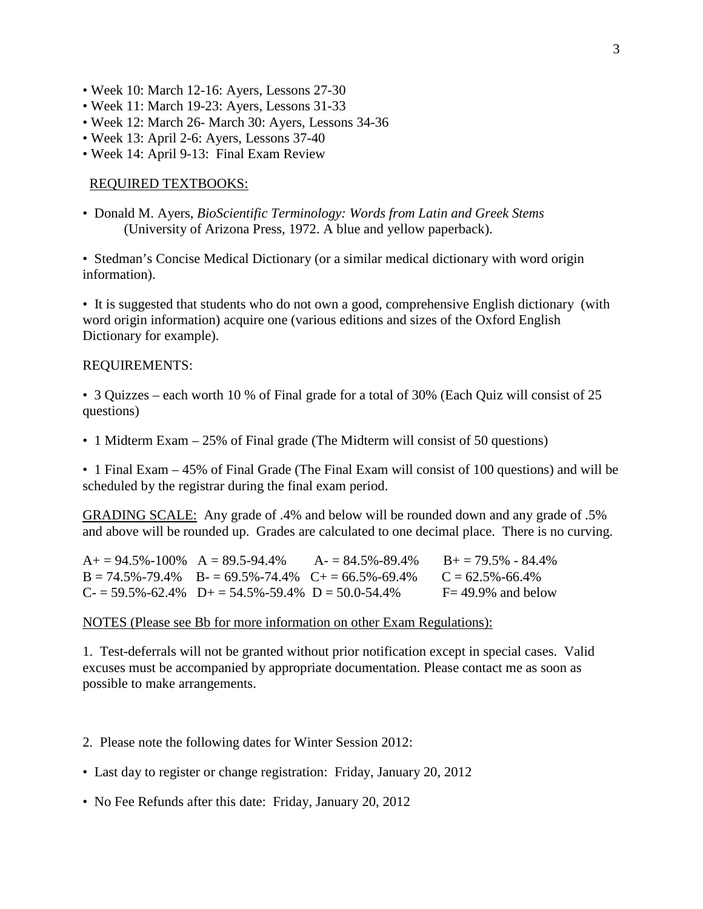- Week 10: March 12-16: Ayers, Lessons 27-30
- Week 11: March 19-23: Ayers, Lessons 31-33
- Week 12: March 26- March 30: Ayers, Lessons 34-36
- Week 13: April 2-6: Ayers, Lessons 37-40
- Week 14: April 9-13: Final Exam Review

#### REQUIRED TEXTBOOKS:

• Donald M. Ayers, *BioScientific Terminology: Words from Latin and Greek Stems* (University of Arizona Press, 1972. A blue and yellow paperback).

• Stedman's Concise Medical Dictionary (or a similar medical dictionary with word origin information).

• It is suggested that students who do not own a good, comprehensive English dictionary (with word origin information) acquire one (various editions and sizes of the Oxford English Dictionary for example).

#### REQUIREMENTS:

• 3 Quizzes – each worth 10 % of Final grade for a total of 30% (Each Quiz will consist of 25 questions)

• 1 Midterm Exam – 25% of Final grade (The Midterm will consist of 50 questions)

• 1 Final Exam – 45% of Final Grade (The Final Exam will consist of 100 questions) and will be scheduled by the registrar during the final exam period.

GRADING SCALE: Any grade of .4% and below will be rounded down and any grade of .5% and above will be rounded up. Grades are calculated to one decimal place. There is no curving.

| $A_1 = 94.5\% - 100\%$ $A = 89.5 - 94.4\%$ |                                                                     | $A = 84.5\% - 89.4\%$ | $B_+ = 79.5\% - 84.4\%$ |
|--------------------------------------------|---------------------------------------------------------------------|-----------------------|-------------------------|
|                                            | $B = 74.5\% - 79.4\%$ $B = 69.5\% - 74.4\%$ $C + 56.5\% - 69.4\%$   |                       | $C = 62.5\% - 66.4\%$   |
|                                            | $C_7 = 59.5\% - 62.4\%$ $D_7 = 54.5\% - 59.4\%$ $D = 50.0 - 54.4\%$ |                       | $F = 49.9\%$ and below  |

#### NOTES (Please see Bb for more information on other Exam Regulations):

1. Test-deferrals will not be granted without prior notification except in special cases. Valid excuses must be accompanied by appropriate documentation. Please contact me as soon as possible to make arrangements.

- 2. Please note the following dates for Winter Session 2012:
- Last day to register or change registration: Friday, January 20, 2012
- No Fee Refunds after this date: Friday, January 20, 2012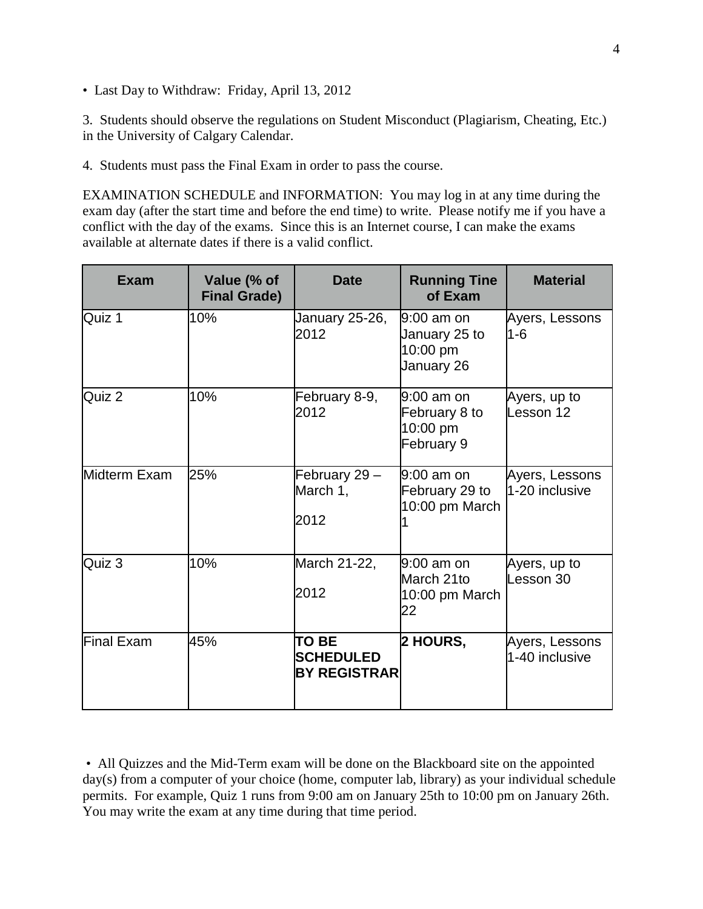• Last Day to Withdraw: Friday, April 13, 2012

3. Students should observe the regulations on Student Misconduct (Plagiarism, Cheating, Etc.) in the University of Calgary Calendar.

4. Students must pass the Final Exam in order to pass the course.

EXAMINATION SCHEDULE and INFORMATION: You may log in at any time during the exam day (after the start time and before the end time) to write. Please notify me if you have a conflict with the day of the exams. Since this is an Internet course, I can make the exams available at alternate dates if there is a valid conflict.

| <b>Exam</b>       | Value (% of<br><b>Final Grade)</b> | <b>Date</b>                                             | <b>Running Tine</b><br>of Exam                        | <b>Material</b>                  |
|-------------------|------------------------------------|---------------------------------------------------------|-------------------------------------------------------|----------------------------------|
| Quiz 1            | 10%                                | January 25-26,<br>2012                                  | 9:00 am on<br>January 25 to<br>10:00 pm<br>January 26 | Ayers, Lessons<br>$1-6$          |
| Quiz 2            | 10%                                | February 8-9,<br>2012                                   | 9:00 am on<br>February 8 to<br>10:00 pm<br>February 9 | Ayers, up to<br>Lesson 12        |
| Midterm Exam      | 25%                                | February 29 -<br>March 1,<br>2012                       | 9:00 am on<br>February 29 to<br>10:00 pm March        | Ayers, Lessons<br>1-20 inclusive |
| Quiz 3            | 10%                                | March 21-22,<br>2012                                    | $9:00$ am on<br>March 21to<br>10:00 pm March<br>22    | Ayers, up to<br>Lesson 30        |
| <b>Final Exam</b> | 45%                                | <b>TO BE</b><br><b>SCHEDULED</b><br><b>BY REGISTRAR</b> | <b>2 HOURS,</b>                                       | Ayers, Lessons<br>1-40 inclusive |

• All Quizzes and the Mid-Term exam will be done on the Blackboard site on the appointed day(s) from a computer of your choice (home, computer lab, library) as your individual schedule permits. For example, Quiz 1 runs from 9:00 am on January 25th to 10:00 pm on January 26th. You may write the exam at any time during that time period.